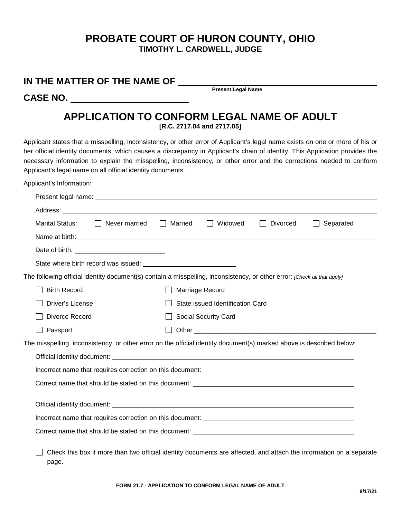## **PROBATE COURT OF HURON COUNTY, OHIO TIMOTHY L. CARDWELL, JUDGE**

| IN THE MATTER OF THE NAME OF<br><b>Present Legal Name</b><br>CASE NO. ________________________                                                                                                                                                                                                                                                                                                                                                     |                         |  |                                  |          |                                                                                                                    |  |  |
|----------------------------------------------------------------------------------------------------------------------------------------------------------------------------------------------------------------------------------------------------------------------------------------------------------------------------------------------------------------------------------------------------------------------------------------------------|-------------------------|--|----------------------------------|----------|--------------------------------------------------------------------------------------------------------------------|--|--|
|                                                                                                                                                                                                                                                                                                                                                                                                                                                    |                         |  |                                  |          |                                                                                                                    |  |  |
| APPLICATION TO CONFORM LEGAL NAME OF ADULT<br>[R.C. 2717.04 and 2717.05]                                                                                                                                                                                                                                                                                                                                                                           |                         |  |                                  |          |                                                                                                                    |  |  |
| Applicant states that a misspelling, inconsistency, or other error of Applicant's legal name exists on one or more of his or<br>her official identity documents, which causes a discrepancy in Applicant's chain of identity. This Application provides the<br>necessary information to explain the misspelling, inconsistency, or other error and the corrections needed to conform<br>Applicant's legal name on all official identity documents. |                         |  |                                  |          |                                                                                                                    |  |  |
| Applicant's Information:                                                                                                                                                                                                                                                                                                                                                                                                                           |                         |  |                                  |          |                                                                                                                    |  |  |
|                                                                                                                                                                                                                                                                                                                                                                                                                                                    |                         |  |                                  |          |                                                                                                                    |  |  |
|                                                                                                                                                                                                                                                                                                                                                                                                                                                    |                         |  |                                  |          |                                                                                                                    |  |  |
| <b>Marital Status:</b>                                                                                                                                                                                                                                                                                                                                                                                                                             | Never married   Married |  | Widowed<br>$\mathbf{1}$          | Divorced | Separated                                                                                                          |  |  |
|                                                                                                                                                                                                                                                                                                                                                                                                                                                    |                         |  |                                  |          |                                                                                                                    |  |  |
|                                                                                                                                                                                                                                                                                                                                                                                                                                                    |                         |  |                                  |          |                                                                                                                    |  |  |
|                                                                                                                                                                                                                                                                                                                                                                                                                                                    |                         |  |                                  |          |                                                                                                                    |  |  |
| The following official identity document(s) contain a misspelling, inconsistency, or other error: [Check all that apply]                                                                                                                                                                                                                                                                                                                           |                         |  |                                  |          |                                                                                                                    |  |  |
| <b>Birth Record</b>                                                                                                                                                                                                                                                                                                                                                                                                                                |                         |  | Marriage Record                  |          |                                                                                                                    |  |  |
| Driver's License                                                                                                                                                                                                                                                                                                                                                                                                                                   |                         |  | State issued Identification Card |          |                                                                                                                    |  |  |
| Divorce Record                                                                                                                                                                                                                                                                                                                                                                                                                                     |                         |  | Social Security Card             |          |                                                                                                                    |  |  |
| Passport                                                                                                                                                                                                                                                                                                                                                                                                                                           |                         |  |                                  |          |                                                                                                                    |  |  |
| The misspelling, inconsistency, or other error on the official identity document(s) marked above is described below:                                                                                                                                                                                                                                                                                                                               |                         |  |                                  |          |                                                                                                                    |  |  |
|                                                                                                                                                                                                                                                                                                                                                                                                                                                    |                         |  |                                  |          |                                                                                                                    |  |  |
| Incorrect name that requires correction on this document:                                                                                                                                                                                                                                                                                                                                                                                          |                         |  |                                  |          |                                                                                                                    |  |  |
|                                                                                                                                                                                                                                                                                                                                                                                                                                                    |                         |  |                                  |          |                                                                                                                    |  |  |
|                                                                                                                                                                                                                                                                                                                                                                                                                                                    |                         |  |                                  |          |                                                                                                                    |  |  |
|                                                                                                                                                                                                                                                                                                                                                                                                                                                    |                         |  |                                  |          |                                                                                                                    |  |  |
|                                                                                                                                                                                                                                                                                                                                                                                                                                                    |                         |  |                                  |          |                                                                                                                    |  |  |
|                                                                                                                                                                                                                                                                                                                                                                                                                                                    |                         |  |                                  |          | Check this box if more than two official identity documents are affected, and attach the information on a separate |  |  |

**FORM 21.7 - APPLICATION TO CONFORM LEGAL NAME OF ADULT**

page.